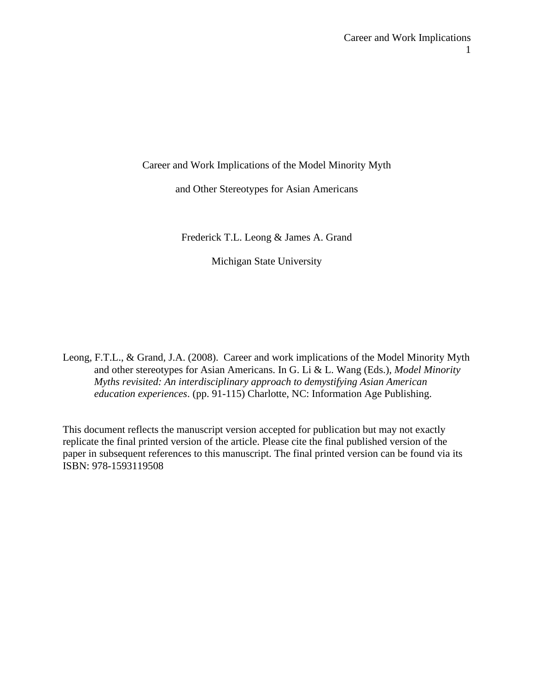Career and Work Implications of the Model Minority Myth

and Other Stereotypes for Asian Americans

Frederick T.L. Leong & James A. Grand

Michigan State University

Leong, F.T.L., & Grand, J.A. (2008). Career and work implications of the Model Minority Myth and other stereotypes for Asian Americans. In G. Li & L. Wang (Eds.), *Model Minority Myths revisited: An interdisciplinary approach to demystifying Asian American education experiences*. (pp. 91-115) Charlotte, NC: Information Age Publishing.

This document reflects the manuscript version accepted for publication but may not exactly replicate the final printed version of the article. Please cite the final published version of the paper in subsequent references to this manuscript. The final printed version can be found via its ISBN: 978-1593119508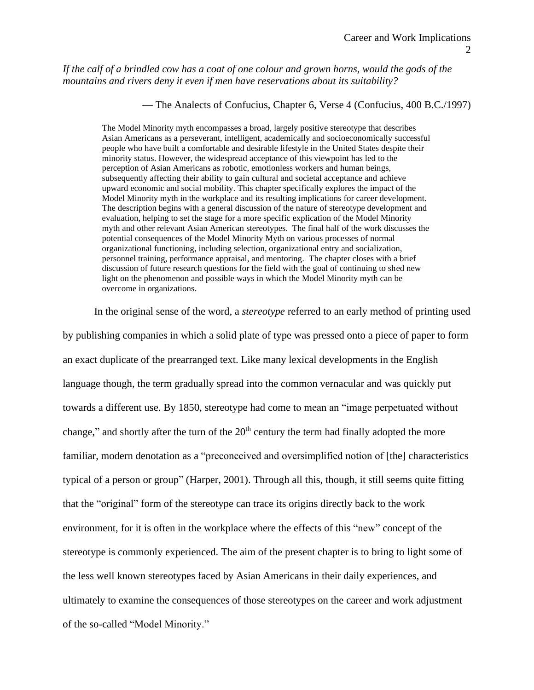*If the calf of a brindled cow has a coat of one colour and grown horns, would the gods of the mountains and rivers deny it even if men have reservations about its suitability?*

— The Analects of Confucius, Chapter 6, Verse 4 (Confucius, 400 B.C./1997)

The Model Minority myth encompasses a broad, largely positive stereotype that describes Asian Americans as a perseverant, intelligent, academically and socioeconomically successful people who have built a comfortable and desirable lifestyle in the United States despite their minority status. However, the widespread acceptance of this viewpoint has led to the perception of Asian Americans as robotic, emotionless workers and human beings, subsequently affecting their ability to gain cultural and societal acceptance and achieve upward economic and social mobility. This chapter specifically explores the impact of the Model Minority myth in the workplace and its resulting implications for career development. The description begins with a general discussion of the nature of stereotype development and evaluation, helping to set the stage for a more specific explication of the Model Minority myth and other relevant Asian American stereotypes. The final half of the work discusses the potential consequences of the Model Minority Myth on various processes of normal organizational functioning, including selection, organizational entry and socialization, personnel training, performance appraisal, and mentoring. The chapter closes with a brief discussion of future research questions for the field with the goal of continuing to shed new light on the phenomenon and possible ways in which the Model Minority myth can be overcome in organizations.

In the original sense of the word, a *stereotype* referred to an early method of printing used by publishing companies in which a solid plate of type was pressed onto a piece of paper to form an exact duplicate of the prearranged text. Like many lexical developments in the English language though, the term gradually spread into the common vernacular and was quickly put towards a different use. By 1850, stereotype had come to mean an "image perpetuated without change," and shortly after the turn of the  $20<sup>th</sup>$  century the term had finally adopted the more familiar, modern denotation as a "preconceived and oversimplified notion of [the] characteristics typical of a person or group" (Harper, 2001). Through all this, though, it still seems quite fitting that the "original" form of the stereotype can trace its origins directly back to the work environment, for it is often in the workplace where the effects of this "new" concept of the stereotype is commonly experienced. The aim of the present chapter is to bring to light some of the less well known stereotypes faced by Asian Americans in their daily experiences, and ultimately to examine the consequences of those stereotypes on the career and work adjustment of the so-called "Model Minority."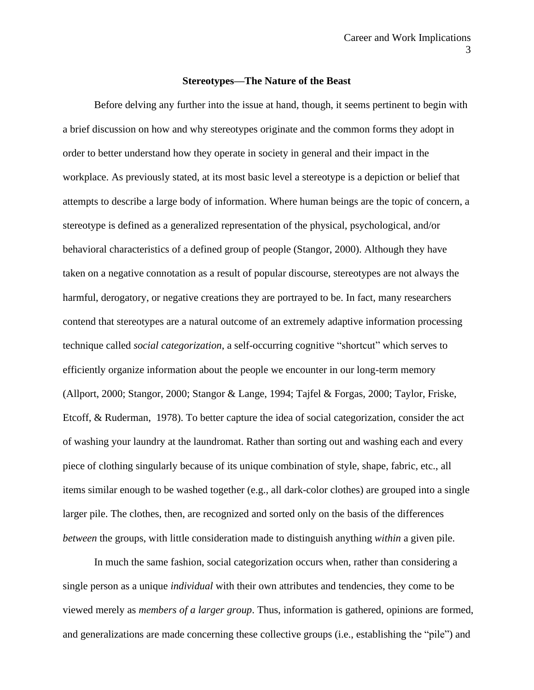#### **Stereotypes—The Nature of the Beast**

Before delving any further into the issue at hand, though, it seems pertinent to begin with a brief discussion on how and why stereotypes originate and the common forms they adopt in order to better understand how they operate in society in general and their impact in the workplace. As previously stated, at its most basic level a stereotype is a depiction or belief that attempts to describe a large body of information. Where human beings are the topic of concern, a stereotype is defined as a generalized representation of the physical, psychological, and/or behavioral characteristics of a defined group of people (Stangor, 2000). Although they have taken on a negative connotation as a result of popular discourse, stereotypes are not always the harmful, derogatory, or negative creations they are portrayed to be. In fact, many researchers contend that stereotypes are a natural outcome of an extremely adaptive information processing technique called *social categorization*, a self-occurring cognitive "shortcut" which serves to efficiently organize information about the people we encounter in our long-term memory (Allport, 2000; Stangor, 2000; Stangor & Lange, 1994; Tajfel & Forgas, 2000; Taylor, Friske, Etcoff, & Ruderman, 1978). To better capture the idea of social categorization, consider the act of washing your laundry at the laundromat. Rather than sorting out and washing each and every piece of clothing singularly because of its unique combination of style, shape, fabric, etc., all items similar enough to be washed together (e.g., all dark-color clothes) are grouped into a single larger pile. The clothes, then, are recognized and sorted only on the basis of the differences *between* the groups, with little consideration made to distinguish anything *within* a given pile.

In much the same fashion, social categorization occurs when, rather than considering a single person as a unique *individual* with their own attributes and tendencies, they come to be viewed merely as *members of a larger group*. Thus, information is gathered, opinions are formed, and generalizations are made concerning these collective groups (i.e., establishing the "pile") and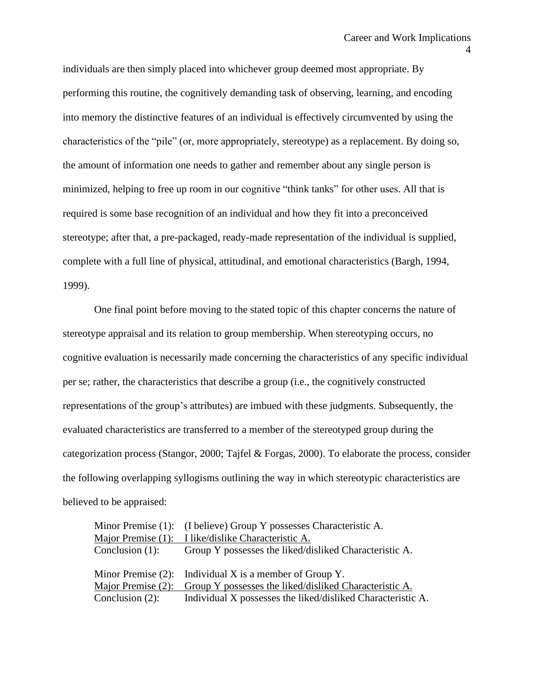individuals are then simply placed into whichever group deemed most appropriate. By performing this routine, the cognitively demanding task of observing, learning, and encoding into memory the distinctive features of an individual is effectively circumvented by using the characteristics of the "pile" (or, more appropriately, stereotype) as a replacement. By doing so, the amount of information one needs to gather and remember about any single person is minimized, helping to free up room in our cognitive "think tanks" for other uses. All that is required is some base recognition of an individual and how they fit into a preconceived stereotype; after that, a pre-packaged, ready-made representation of the individual is supplied, complete with a full line of physical, attitudinal, and emotional characteristics (Bargh, 1994, 1999).

One final point before moving to the stated topic of this chapter concerns the nature of stereotype appraisal and its relation to group membership. When stereotyping occurs, no cognitive evaluation is necessarily made concerning the characteristics of any specific individual per se; rather, the characteristics that describe a group (i.e., the cognitively constructed representations of the group's attributes) are imbued with these judgments. Subsequently, the evaluated characteristics are transferred to a member of the stereotyped group during the categorization process (Stangor, 2000; Tajfel & Forgas, 2000). To elaborate the process, consider the following overlapping syllogisms outlining the way in which stereotypic characteristics are believed to be appraised:

|                    | Minor Premise (1): (I believe) Group Y possesses Characteristic A.           |
|--------------------|------------------------------------------------------------------------------|
| Major Premise (1): | I like/dislike Characteristic A.                                             |
| Conclusion $(1)$ : | Group Y possesses the liked/disliked Characteristic A.                       |
|                    |                                                                              |
|                    | Minor Premise $(2)$ : Individual X is a member of Group Y.                   |
|                    | Major Premise $(2)$ : Group Y possesses the liked/disliked Characteristic A. |
|                    | Conclusion (2): Individual X possesses the liked/disliked Characteristic A.  |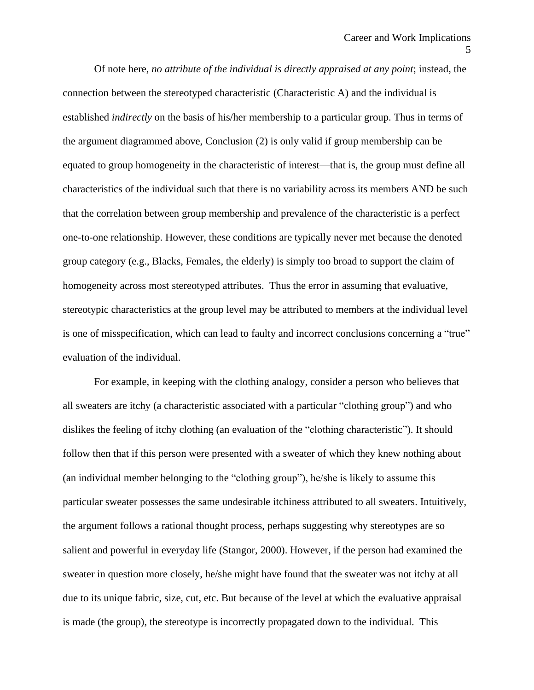Of note here, *no attribute of the individual is directly appraised at any point*; instead, the connection between the stereotyped characteristic (Characteristic A) and the individual is established *indirectly* on the basis of his/her membership to a particular group. Thus in terms of the argument diagrammed above, Conclusion (2) is only valid if group membership can be equated to group homogeneity in the characteristic of interest—that is, the group must define all characteristics of the individual such that there is no variability across its members AND be such that the correlation between group membership and prevalence of the characteristic is a perfect one-to-one relationship. However, these conditions are typically never met because the denoted group category (e.g., Blacks, Females, the elderly) is simply too broad to support the claim of homogeneity across most stereotyped attributes. Thus the error in assuming that evaluative, stereotypic characteristics at the group level may be attributed to members at the individual level is one of misspecification, which can lead to faulty and incorrect conclusions concerning a "true" evaluation of the individual.

For example, in keeping with the clothing analogy, consider a person who believes that all sweaters are itchy (a characteristic associated with a particular "clothing group") and who dislikes the feeling of itchy clothing (an evaluation of the "clothing characteristic"). It should follow then that if this person were presented with a sweater of which they knew nothing about (an individual member belonging to the "clothing group"), he/she is likely to assume this particular sweater possesses the same undesirable itchiness attributed to all sweaters. Intuitively, the argument follows a rational thought process, perhaps suggesting why stereotypes are so salient and powerful in everyday life (Stangor, 2000). However, if the person had examined the sweater in question more closely, he/she might have found that the sweater was not itchy at all due to its unique fabric, size, cut, etc. But because of the level at which the evaluative appraisal is made (the group), the stereotype is incorrectly propagated down to the individual. This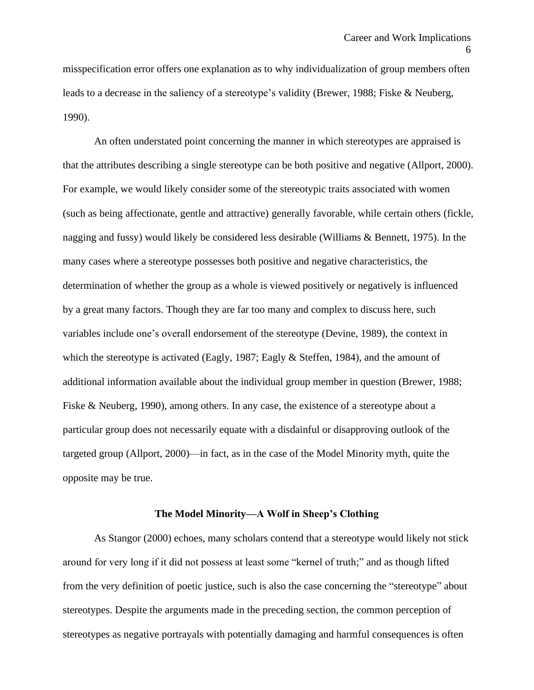misspecification error offers one explanation as to why individualization of group members often leads to a decrease in the saliency of a stereotype's validity (Brewer, 1988; Fiske & Neuberg, 1990).

An often understated point concerning the manner in which stereotypes are appraised is that the attributes describing a single stereotype can be both positive and negative (Allport, 2000). For example, we would likely consider some of the stereotypic traits associated with women (such as being affectionate, gentle and attractive) generally favorable, while certain others (fickle, nagging and fussy) would likely be considered less desirable (Williams & Bennett, 1975). In the many cases where a stereotype possesses both positive and negative characteristics, the determination of whether the group as a whole is viewed positively or negatively is influenced by a great many factors. Though they are far too many and complex to discuss here, such variables include one's overall endorsement of the stereotype (Devine, 1989), the context in which the stereotype is activated (Eagly, 1987; Eagly & Steffen, 1984), and the amount of additional information available about the individual group member in question (Brewer, 1988; Fiske & Neuberg, 1990), among others. In any case, the existence of a stereotype about a particular group does not necessarily equate with a disdainful or disapproving outlook of the targeted group (Allport, 2000)—in fact, as in the case of the Model Minority myth, quite the opposite may be true.

# **The Model Minority—A Wolf in Sheep's Clothing**

As Stangor (2000) echoes, many scholars contend that a stereotype would likely not stick around for very long if it did not possess at least some "kernel of truth;" and as though lifted from the very definition of poetic justice, such is also the case concerning the "stereotype" about stereotypes. Despite the arguments made in the preceding section, the common perception of stereotypes as negative portrayals with potentially damaging and harmful consequences is often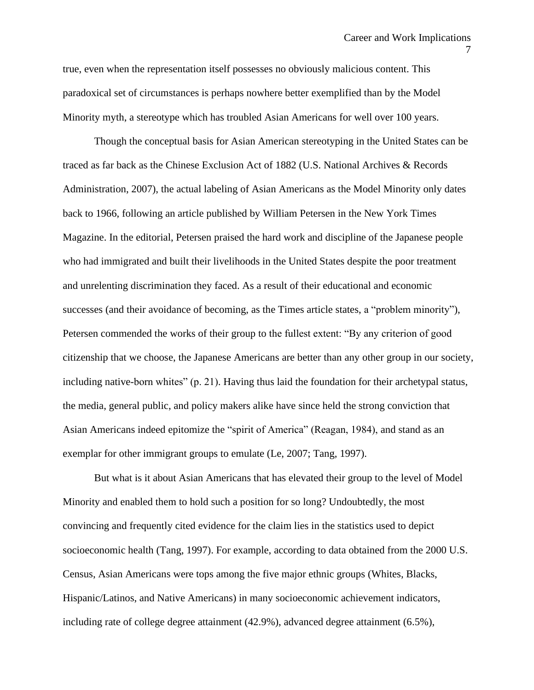true, even when the representation itself possesses no obviously malicious content. This paradoxical set of circumstances is perhaps nowhere better exemplified than by the Model Minority myth, a stereotype which has troubled Asian Americans for well over 100 years.

Though the conceptual basis for Asian American stereotyping in the United States can be traced as far back as the Chinese Exclusion Act of 1882 (U.S. National Archives & Records Administration, 2007), the actual labeling of Asian Americans as the Model Minority only dates back to 1966, following an article published by William Petersen in the New York Times Magazine. In the editorial, Petersen praised the hard work and discipline of the Japanese people who had immigrated and built their livelihoods in the United States despite the poor treatment and unrelenting discrimination they faced. As a result of their educational and economic successes (and their avoidance of becoming, as the Times article states, a "problem minority"), Petersen commended the works of their group to the fullest extent: "By any criterion of good citizenship that we choose, the Japanese Americans are better than any other group in our society, including native-born whites" (p. 21). Having thus laid the foundation for their archetypal status, the media, general public, and policy makers alike have since held the strong conviction that Asian Americans indeed epitomize the "spirit of America" (Reagan, 1984), and stand as an exemplar for other immigrant groups to emulate (Le, 2007; Tang, 1997).

But what is it about Asian Americans that has elevated their group to the level of Model Minority and enabled them to hold such a position for so long? Undoubtedly, the most convincing and frequently cited evidence for the claim lies in the statistics used to depict socioeconomic health (Tang, 1997). For example, according to data obtained from the 2000 U.S. Census, Asian Americans were tops among the five major ethnic groups (Whites, Blacks, Hispanic/Latinos, and Native Americans) in many socioeconomic achievement indicators, including rate of college degree attainment (42.9%), advanced degree attainment (6.5%),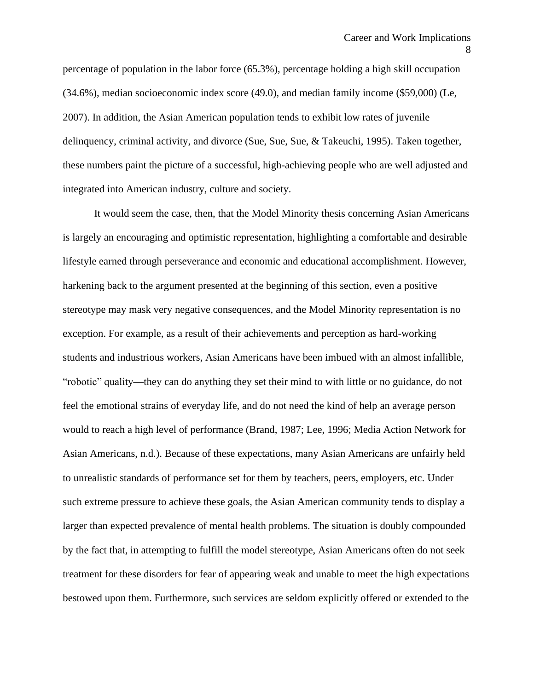percentage of population in the labor force (65.3%), percentage holding a high skill occupation (34.6%), median socioeconomic index score (49.0), and median family income (\$59,000) (Le, 2007). In addition, the Asian American population tends to exhibit low rates of juvenile delinquency, criminal activity, and divorce (Sue, Sue, Sue, & Takeuchi, 1995). Taken together, these numbers paint the picture of a successful, high-achieving people who are well adjusted and integrated into American industry, culture and society.

It would seem the case, then, that the Model Minority thesis concerning Asian Americans is largely an encouraging and optimistic representation, highlighting a comfortable and desirable lifestyle earned through perseverance and economic and educational accomplishment. However, harkening back to the argument presented at the beginning of this section, even a positive stereotype may mask very negative consequences, and the Model Minority representation is no exception. For example, as a result of their achievements and perception as hard-working students and industrious workers, Asian Americans have been imbued with an almost infallible, "robotic" quality—they can do anything they set their mind to with little or no guidance, do not feel the emotional strains of everyday life, and do not need the kind of help an average person would to reach a high level of performance (Brand, 1987; Lee, 1996; Media Action Network for Asian Americans, n.d.). Because of these expectations, many Asian Americans are unfairly held to unrealistic standards of performance set for them by teachers, peers, employers, etc. Under such extreme pressure to achieve these goals, the Asian American community tends to display a larger than expected prevalence of mental health problems. The situation is doubly compounded by the fact that, in attempting to fulfill the model stereotype, Asian Americans often do not seek treatment for these disorders for fear of appearing weak and unable to meet the high expectations bestowed upon them. Furthermore, such services are seldom explicitly offered or extended to the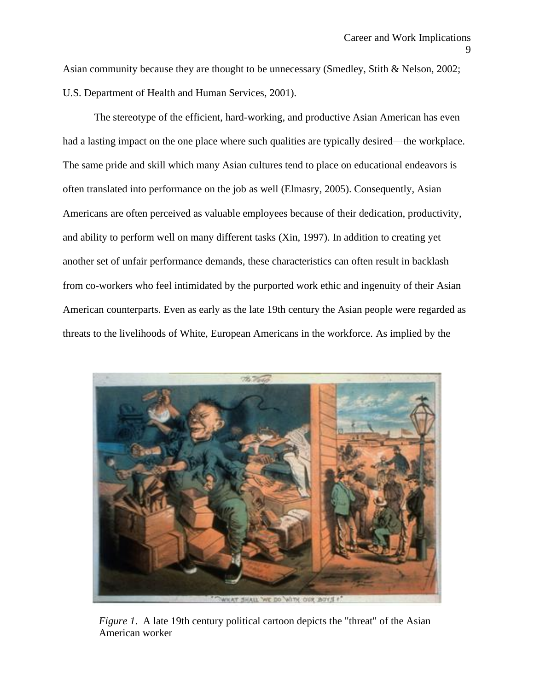Asian community because they are thought to be unnecessary (Smedley, Stith & Nelson, 2002; U.S. Department of Health and Human Services, 2001).

The stereotype of the efficient, hard-working, and productive Asian American has even had a lasting impact on the one place where such qualities are typically desired—the workplace. The same pride and skill which many Asian cultures tend to place on educational endeavors is often translated into performance on the job as well (Elmasry, 2005). Consequently, Asian Americans are often perceived as valuable employees because of their dedication, productivity, and ability to perform well on many different tasks (Xin, 1997). In addition to creating yet another set of unfair performance demands, these characteristics can often result in backlash from co-workers who feel intimidated by the purported work ethic and ingenuity of their Asian American counterparts. Even as early as the late 19th century the Asian people were regarded as threats to the livelihoods of White, European Americans in the workforce. As implied by the



*Figure 1.* A late 19th century political cartoon depicts the "threat" of the Asian American worker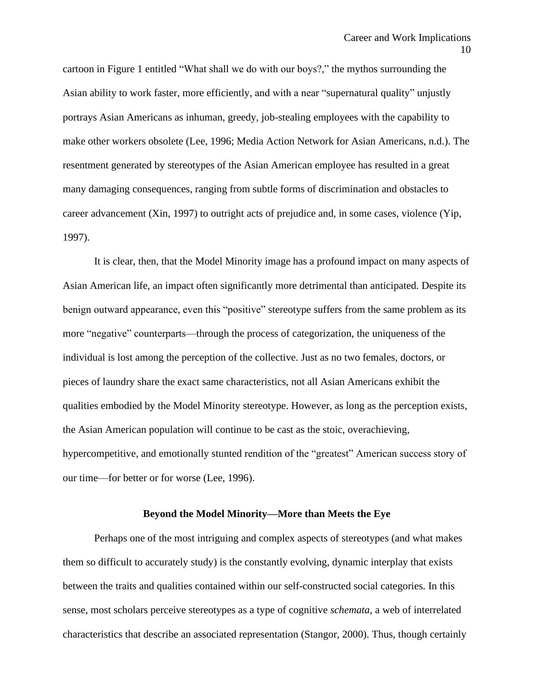cartoon in Figure 1 entitled "What shall we do with our boys?," the mythos surrounding the Asian ability to work faster, more efficiently, and with a near "supernatural quality" unjustly portrays Asian Americans as inhuman, greedy, job-stealing employees with the capability to make other workers obsolete (Lee, 1996; Media Action Network for Asian Americans, n.d.). The resentment generated by stereotypes of the Asian American employee has resulted in a great many damaging consequences, ranging from subtle forms of discrimination and obstacles to career advancement (Xin, 1997) to outright acts of prejudice and, in some cases, violence (Yip, 1997).

It is clear, then, that the Model Minority image has a profound impact on many aspects of Asian American life, an impact often significantly more detrimental than anticipated. Despite its benign outward appearance, even this "positive" stereotype suffers from the same problem as its more "negative" counterparts—through the process of categorization, the uniqueness of the individual is lost among the perception of the collective. Just as no two females, doctors, or pieces of laundry share the exact same characteristics, not all Asian Americans exhibit the qualities embodied by the Model Minority stereotype. However, as long as the perception exists, the Asian American population will continue to be cast as the stoic, overachieving, hypercompetitive, and emotionally stunted rendition of the "greatest" American success story of our time—for better or for worse (Lee, 1996).

#### **Beyond the Model Minority—More than Meets the Eye**

Perhaps one of the most intriguing and complex aspects of stereotypes (and what makes them so difficult to accurately study) is the constantly evolving, dynamic interplay that exists between the traits and qualities contained within our self-constructed social categories. In this sense, most scholars perceive stereotypes as a type of cognitive *schemata*, a web of interrelated characteristics that describe an associated representation (Stangor, 2000). Thus, though certainly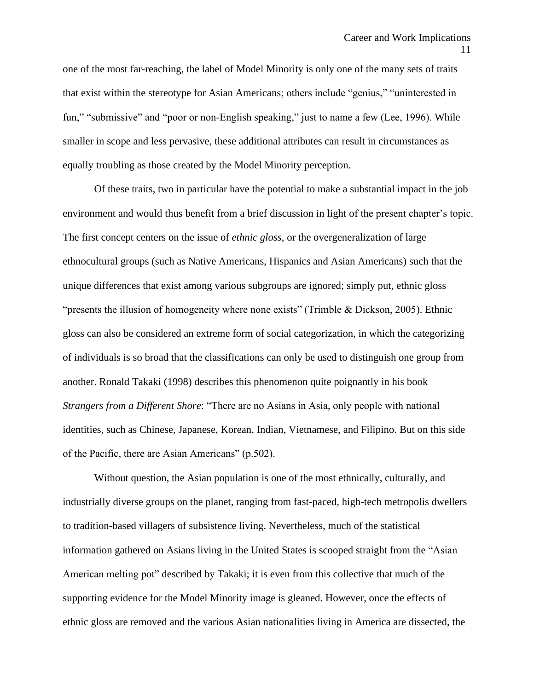one of the most far-reaching, the label of Model Minority is only one of the many sets of traits that exist within the stereotype for Asian Americans; others include "genius," "uninterested in fun," "submissive" and "poor or non-English speaking," just to name a few (Lee, 1996). While smaller in scope and less pervasive, these additional attributes can result in circumstances as equally troubling as those created by the Model Minority perception.

Of these traits, two in particular have the potential to make a substantial impact in the job environment and would thus benefit from a brief discussion in light of the present chapter's topic. The first concept centers on the issue of *ethnic gloss*, or the overgeneralization of large ethnocultural groups (such as Native Americans, Hispanics and Asian Americans) such that the unique differences that exist among various subgroups are ignored; simply put, ethnic gloss "presents the illusion of homogeneity where none exists" (Trimble & Dickson, 2005). Ethnic gloss can also be considered an extreme form of social categorization, in which the categorizing of individuals is so broad that the classifications can only be used to distinguish one group from another. Ronald Takaki (1998) describes this phenomenon quite poignantly in his book *Strangers from a Different Shore*: "There are no Asians in Asia, only people with national identities, such as Chinese, Japanese, Korean, Indian, Vietnamese, and Filipino. But on this side of the Pacific, there are Asian Americans" (p.502).

Without question, the Asian population is one of the most ethnically, culturally, and industrially diverse groups on the planet, ranging from fast-paced, high-tech metropolis dwellers to tradition-based villagers of subsistence living. Nevertheless, much of the statistical information gathered on Asians living in the United States is scooped straight from the "Asian American melting pot" described by Takaki; it is even from this collective that much of the supporting evidence for the Model Minority image is gleaned. However, once the effects of ethnic gloss are removed and the various Asian nationalities living in America are dissected, the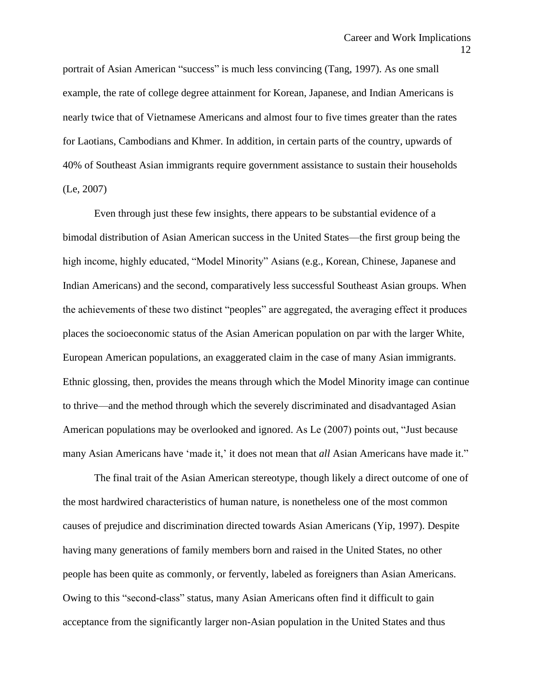portrait of Asian American "success" is much less convincing (Tang, 1997). As one small example, the rate of college degree attainment for Korean, Japanese, and Indian Americans is nearly twice that of Vietnamese Americans and almost four to five times greater than the rates for Laotians, Cambodians and Khmer. In addition, in certain parts of the country, upwards of 40% of Southeast Asian immigrants require government assistance to sustain their households (Le, 2007)

Even through just these few insights, there appears to be substantial evidence of a bimodal distribution of Asian American success in the United States—the first group being the high income, highly educated, "Model Minority" Asians (e.g., Korean, Chinese, Japanese and Indian Americans) and the second, comparatively less successful Southeast Asian groups. When the achievements of these two distinct "peoples" are aggregated, the averaging effect it produces places the socioeconomic status of the Asian American population on par with the larger White, European American populations, an exaggerated claim in the case of many Asian immigrants. Ethnic glossing, then, provides the means through which the Model Minority image can continue to thrive—and the method through which the severely discriminated and disadvantaged Asian American populations may be overlooked and ignored. As Le (2007) points out, "Just because many Asian Americans have 'made it,' it does not mean that *all* Asian Americans have made it."

The final trait of the Asian American stereotype, though likely a direct outcome of one of the most hardwired characteristics of human nature, is nonetheless one of the most common causes of prejudice and discrimination directed towards Asian Americans (Yip, 1997). Despite having many generations of family members born and raised in the United States, no other people has been quite as commonly, or fervently, labeled as foreigners than Asian Americans. Owing to this "second-class" status, many Asian Americans often find it difficult to gain acceptance from the significantly larger non-Asian population in the United States and thus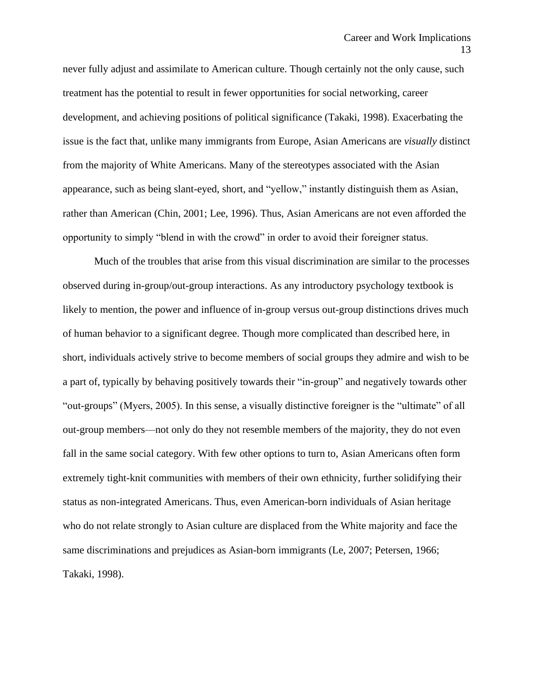never fully adjust and assimilate to American culture. Though certainly not the only cause, such treatment has the potential to result in fewer opportunities for social networking, career development, and achieving positions of political significance (Takaki, 1998). Exacerbating the issue is the fact that, unlike many immigrants from Europe, Asian Americans are *visually* distinct from the majority of White Americans. Many of the stereotypes associated with the Asian appearance, such as being slant-eyed, short, and "yellow," instantly distinguish them as Asian, rather than American (Chin, 2001; Lee, 1996). Thus, Asian Americans are not even afforded the opportunity to simply "blend in with the crowd" in order to avoid their foreigner status.

Much of the troubles that arise from this visual discrimination are similar to the processes observed during in-group/out-group interactions. As any introductory psychology textbook is likely to mention, the power and influence of in-group versus out-group distinctions drives much of human behavior to a significant degree. Though more complicated than described here, in short, individuals actively strive to become members of social groups they admire and wish to be a part of, typically by behaving positively towards their "in-group" and negatively towards other "out-groups" (Myers, 2005). In this sense, a visually distinctive foreigner is the "ultimate" of all out-group members—not only do they not resemble members of the majority, they do not even fall in the same social category. With few other options to turn to, Asian Americans often form extremely tight-knit communities with members of their own ethnicity, further solidifying their status as non-integrated Americans. Thus, even American-born individuals of Asian heritage who do not relate strongly to Asian culture are displaced from the White majority and face the same discriminations and prejudices as Asian-born immigrants (Le, 2007; Petersen, 1966; Takaki, 1998).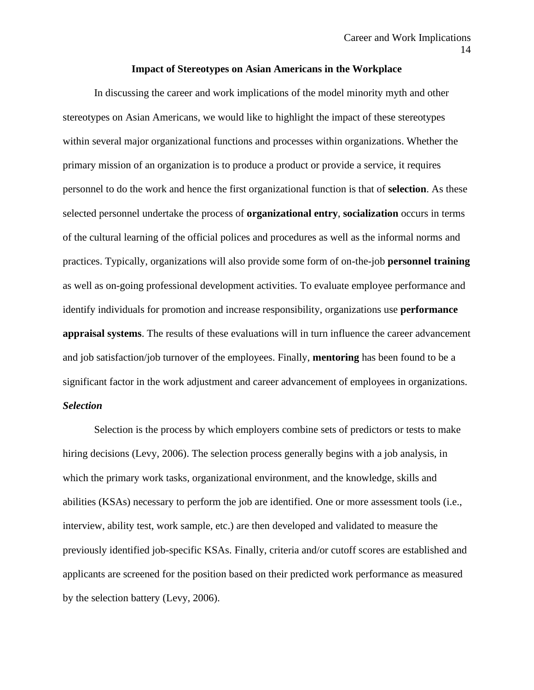#### **Impact of Stereotypes on Asian Americans in the Workplace**

In discussing the career and work implications of the model minority myth and other stereotypes on Asian Americans, we would like to highlight the impact of these stereotypes within several major organizational functions and processes within organizations. Whether the primary mission of an organization is to produce a product or provide a service, it requires personnel to do the work and hence the first organizational function is that of **selection**. As these selected personnel undertake the process of **organizational entry**, **socialization** occurs in terms of the cultural learning of the official polices and procedures as well as the informal norms and practices. Typically, organizations will also provide some form of on-the-job **personnel training** as well as on-going professional development activities. To evaluate employee performance and identify individuals for promotion and increase responsibility, organizations use **performance appraisal systems**. The results of these evaluations will in turn influence the career advancement and job satisfaction/job turnover of the employees. Finally, **mentoring** has been found to be a significant factor in the work adjustment and career advancement of employees in organizations. *Selection*

Selection is the process by which employers combine sets of predictors or tests to make hiring decisions (Levy, 2006). The selection process generally begins with a job analysis, in which the primary work tasks, organizational environment, and the knowledge, skills and abilities (KSAs) necessary to perform the job are identified. One or more assessment tools (i.e., interview, ability test, work sample, etc.) are then developed and validated to measure the previously identified job-specific KSAs. Finally, criteria and/or cutoff scores are established and applicants are screened for the position based on their predicted work performance as measured by the selection battery (Levy, 2006).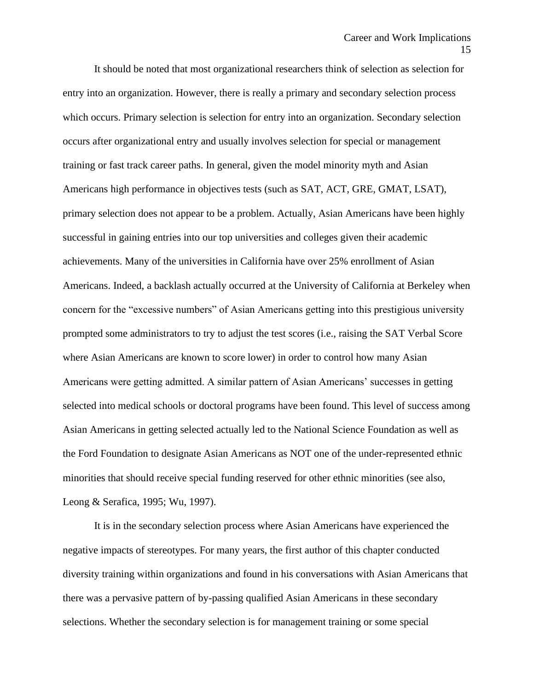It should be noted that most organizational researchers think of selection as selection for entry into an organization. However, there is really a primary and secondary selection process which occurs. Primary selection is selection for entry into an organization. Secondary selection occurs after organizational entry and usually involves selection for special or management training or fast track career paths. In general, given the model minority myth and Asian Americans high performance in objectives tests (such as SAT, ACT, GRE, GMAT, LSAT), primary selection does not appear to be a problem. Actually, Asian Americans have been highly successful in gaining entries into our top universities and colleges given their academic achievements. Many of the universities in California have over 25% enrollment of Asian Americans. Indeed, a backlash actually occurred at the University of California at Berkeley when concern for the "excessive numbers" of Asian Americans getting into this prestigious university prompted some administrators to try to adjust the test scores (i.e., raising the SAT Verbal Score where Asian Americans are known to score lower) in order to control how many Asian Americans were getting admitted. A similar pattern of Asian Americans' successes in getting selected into medical schools or doctoral programs have been found. This level of success among Asian Americans in getting selected actually led to the National Science Foundation as well as the Ford Foundation to designate Asian Americans as NOT one of the under-represented ethnic minorities that should receive special funding reserved for other ethnic minorities (see also, Leong & Serafica, 1995; Wu, 1997).

It is in the secondary selection process where Asian Americans have experienced the negative impacts of stereotypes. For many years, the first author of this chapter conducted diversity training within organizations and found in his conversations with Asian Americans that there was a pervasive pattern of by-passing qualified Asian Americans in these secondary selections. Whether the secondary selection is for management training or some special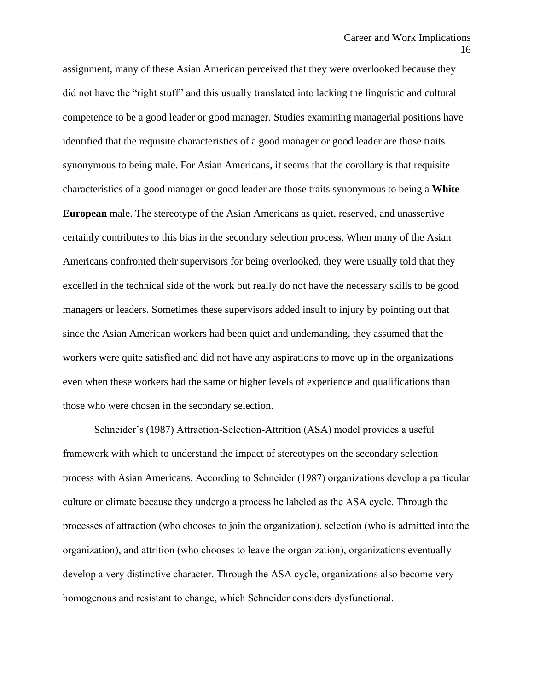assignment, many of these Asian American perceived that they were overlooked because they did not have the "right stuff" and this usually translated into lacking the linguistic and cultural competence to be a good leader or good manager. Studies examining managerial positions have identified that the requisite characteristics of a good manager or good leader are those traits synonymous to being male. For Asian Americans, it seems that the corollary is that requisite characteristics of a good manager or good leader are those traits synonymous to being a **White European** male. The stereotype of the Asian Americans as quiet, reserved, and unassertive certainly contributes to this bias in the secondary selection process. When many of the Asian Americans confronted their supervisors for being overlooked, they were usually told that they excelled in the technical side of the work but really do not have the necessary skills to be good managers or leaders. Sometimes these supervisors added insult to injury by pointing out that since the Asian American workers had been quiet and undemanding, they assumed that the workers were quite satisfied and did not have any aspirations to move up in the organizations even when these workers had the same or higher levels of experience and qualifications than those who were chosen in the secondary selection.

Schneider's (1987) Attraction-Selection-Attrition (ASA) model provides a useful framework with which to understand the impact of stereotypes on the secondary selection process with Asian Americans. According to Schneider (1987) organizations develop a particular culture or climate because they undergo a process he labeled as the ASA cycle. Through the processes of attraction (who chooses to join the organization), selection (who is admitted into the organization), and attrition (who chooses to leave the organization), organizations eventually develop a very distinctive character. Through the ASA cycle, organizations also become very homogenous and resistant to change, which Schneider considers dysfunctional.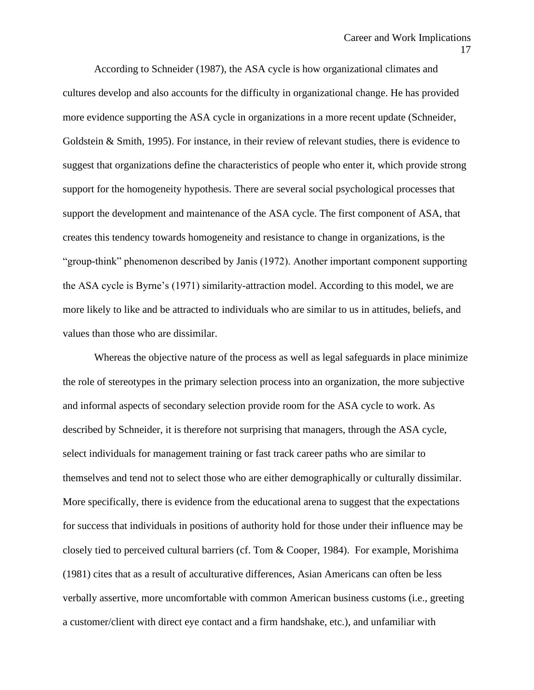According to Schneider (1987), the ASA cycle is how organizational climates and cultures develop and also accounts for the difficulty in organizational change. He has provided more evidence supporting the ASA cycle in organizations in a more recent update (Schneider, Goldstein & Smith, 1995). For instance, in their review of relevant studies, there is evidence to suggest that organizations define the characteristics of people who enter it, which provide strong support for the homogeneity hypothesis. There are several social psychological processes that support the development and maintenance of the ASA cycle. The first component of ASA, that creates this tendency towards homogeneity and resistance to change in organizations, is the "group-think" phenomenon described by Janis (1972). Another important component supporting the ASA cycle is Byrne's (1971) similarity-attraction model. According to this model, we are more likely to like and be attracted to individuals who are similar to us in attitudes, beliefs, and values than those who are dissimilar.

Whereas the objective nature of the process as well as legal safeguards in place minimize the role of stereotypes in the primary selection process into an organization, the more subjective and informal aspects of secondary selection provide room for the ASA cycle to work. As described by Schneider, it is therefore not surprising that managers, through the ASA cycle, select individuals for management training or fast track career paths who are similar to themselves and tend not to select those who are either demographically or culturally dissimilar. More specifically, there is evidence from the educational arena to suggest that the expectations for success that individuals in positions of authority hold for those under their influence may be closely tied to perceived cultural barriers (cf. Tom & Cooper, 1984). For example, Morishima (1981) cites that as a result of acculturative differences, Asian Americans can often be less verbally assertive, more uncomfortable with common American business customs (i.e., greeting a customer/client with direct eye contact and a firm handshake, etc.), and unfamiliar with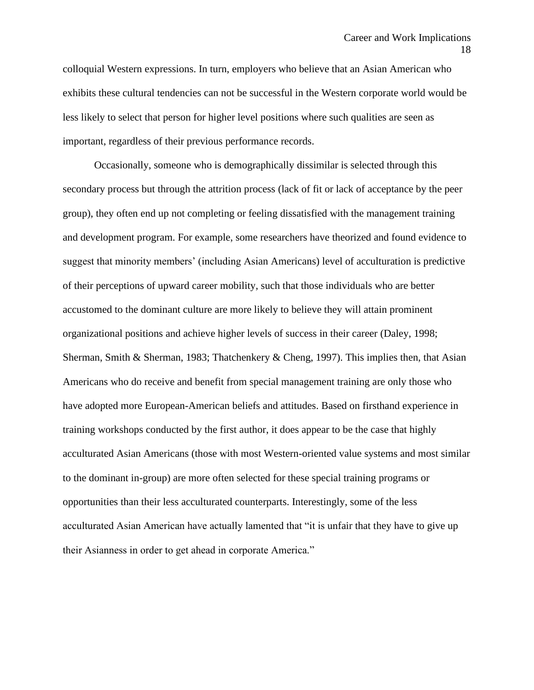colloquial Western expressions. In turn, employers who believe that an Asian American who exhibits these cultural tendencies can not be successful in the Western corporate world would be less likely to select that person for higher level positions where such qualities are seen as important, regardless of their previous performance records.

Occasionally, someone who is demographically dissimilar is selected through this secondary process but through the attrition process (lack of fit or lack of acceptance by the peer group), they often end up not completing or feeling dissatisfied with the management training and development program. For example, some researchers have theorized and found evidence to suggest that minority members' (including Asian Americans) level of acculturation is predictive of their perceptions of upward career mobility, such that those individuals who are better accustomed to the dominant culture are more likely to believe they will attain prominent organizational positions and achieve higher levels of success in their career (Daley, 1998; Sherman, Smith & Sherman, 1983; Thatchenkery & Cheng, 1997). This implies then, that Asian Americans who do receive and benefit from special management training are only those who have adopted more European-American beliefs and attitudes. Based on firsthand experience in training workshops conducted by the first author, it does appear to be the case that highly acculturated Asian Americans (those with most Western-oriented value systems and most similar to the dominant in-group) are more often selected for these special training programs or opportunities than their less acculturated counterparts. Interestingly, some of the less acculturated Asian American have actually lamented that "it is unfair that they have to give up their Asianness in order to get ahead in corporate America."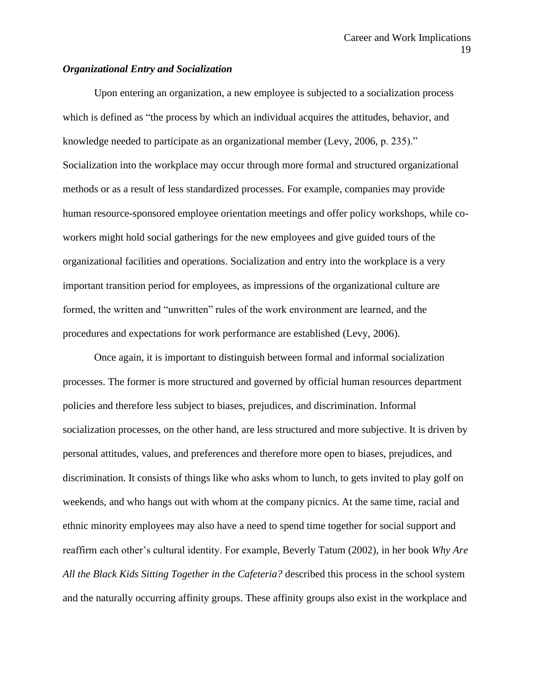# *Organizational Entry and Socialization*

Upon entering an organization, a new employee is subjected to a socialization process which is defined as "the process by which an individual acquires the attitudes, behavior, and knowledge needed to participate as an organizational member (Levy, 2006, p. 235)." Socialization into the workplace may occur through more formal and structured organizational methods or as a result of less standardized processes. For example, companies may provide human resource-sponsored employee orientation meetings and offer policy workshops, while coworkers might hold social gatherings for the new employees and give guided tours of the organizational facilities and operations. Socialization and entry into the workplace is a very important transition period for employees, as impressions of the organizational culture are formed, the written and "unwritten" rules of the work environment are learned, and the procedures and expectations for work performance are established (Levy, 2006).

Once again, it is important to distinguish between formal and informal socialization processes. The former is more structured and governed by official human resources department policies and therefore less subject to biases, prejudices, and discrimination. Informal socialization processes, on the other hand, are less structured and more subjective. It is driven by personal attitudes, values, and preferences and therefore more open to biases, prejudices, and discrimination. It consists of things like who asks whom to lunch, to gets invited to play golf on weekends, and who hangs out with whom at the company picnics. At the same time, racial and ethnic minority employees may also have a need to spend time together for social support and reaffirm each other's cultural identity. For example, Beverly Tatum (2002)*,* in her book *Why Are All the Black Kids Sitting Together in the Cafeteria?* described this process in the school system and the naturally occurring affinity groups. These affinity groups also exist in the workplace and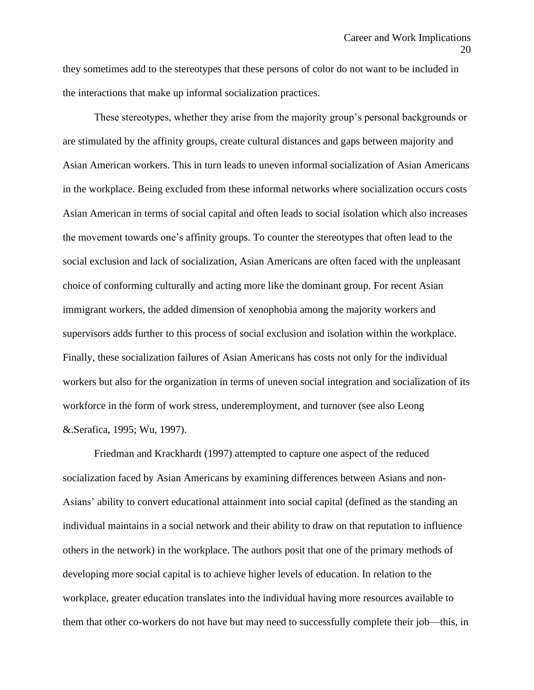they sometimes add to the stereotypes that these persons of color do not want to be included in the interactions that make up informal socialization practices.

These stereotypes, whether they arise from the majority group's personal backgrounds or are stimulated by the affinity groups, create cultural distances and gaps between majority and Asian American workers. This in turn leads to uneven informal socialization of Asian Americans in the workplace. Being excluded from these informal networks where socialization occurs costs Asian American in terms of social capital and often leads to social isolation which also increases the movement towards one's affinity groups. To counter the stereotypes that often lead to the social exclusion and lack of socialization, Asian Americans are often faced with the unpleasant choice of conforming culturally and acting more like the dominant group. For recent Asian immigrant workers, the added dimension of xenophobia among the majority workers and supervisors adds further to this process of social exclusion and isolation within the workplace. Finally, these socialization failures of Asian Americans has costs not only for the individual workers but also for the organization in terms of uneven social integration and socialization of its workforce in the form of work stress, underemployment, and turnover (see also Leong &.Serafica, 1995; Wu, 1997).

Friedman and Krackhardt (1997) attempted to capture one aspect of the reduced socialization faced by Asian Americans by examining differences between Asians and non-Asians' ability to convert educational attainment into social capital (defined as the standing an individual maintains in a social network and their ability to draw on that reputation to influence others in the network) in the workplace. The authors posit that one of the primary methods of developing more social capital is to achieve higher levels of education. In relation to the workplace, greater education translates into the individual having more resources available to them that other co-workers do not have but may need to successfully complete their job—this, in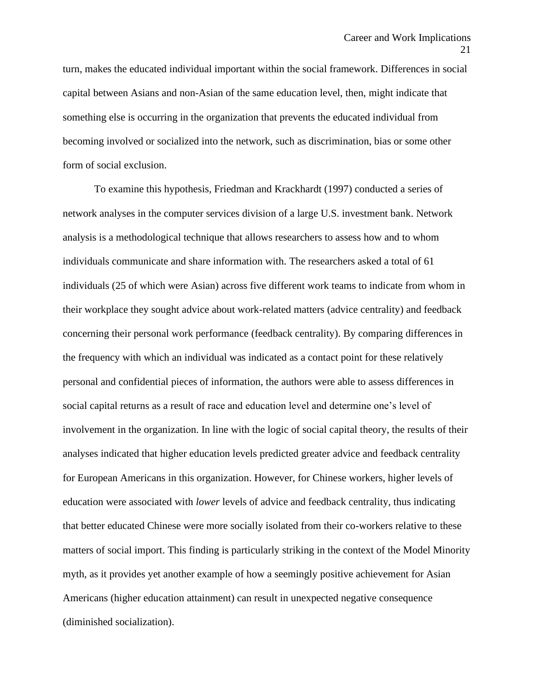turn, makes the educated individual important within the social framework. Differences in social capital between Asians and non-Asian of the same education level, then, might indicate that something else is occurring in the organization that prevents the educated individual from becoming involved or socialized into the network, such as discrimination, bias or some other form of social exclusion.

To examine this hypothesis, Friedman and Krackhardt (1997) conducted a series of network analyses in the computer services division of a large U.S. investment bank. Network analysis is a methodological technique that allows researchers to assess how and to whom individuals communicate and share information with. The researchers asked a total of 61 individuals (25 of which were Asian) across five different work teams to indicate from whom in their workplace they sought advice about work-related matters (advice centrality) and feedback concerning their personal work performance (feedback centrality). By comparing differences in the frequency with which an individual was indicated as a contact point for these relatively personal and confidential pieces of information, the authors were able to assess differences in social capital returns as a result of race and education level and determine one's level of involvement in the organization. In line with the logic of social capital theory, the results of their analyses indicated that higher education levels predicted greater advice and feedback centrality for European Americans in this organization. However, for Chinese workers, higher levels of education were associated with *lower* levels of advice and feedback centrality, thus indicating that better educated Chinese were more socially isolated from their co-workers relative to these matters of social import. This finding is particularly striking in the context of the Model Minority myth, as it provides yet another example of how a seemingly positive achievement for Asian Americans (higher education attainment) can result in unexpected negative consequence (diminished socialization).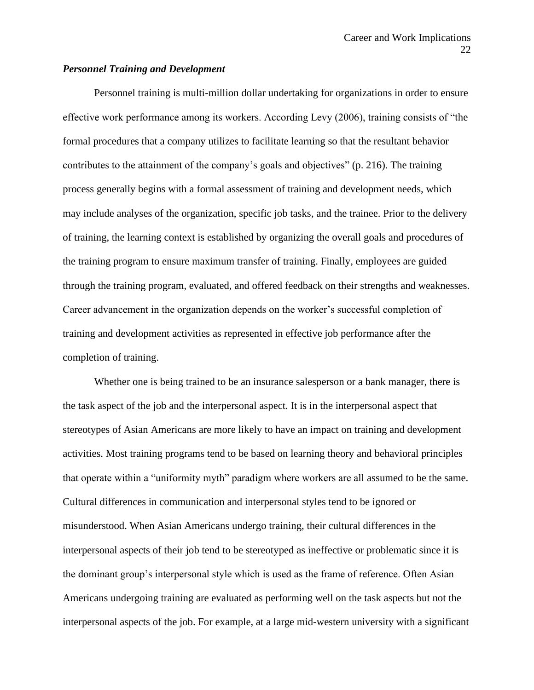# *Personnel Training and Development*

Personnel training is multi-million dollar undertaking for organizations in order to ensure effective work performance among its workers. According Levy (2006), training consists of "the formal procedures that a company utilizes to facilitate learning so that the resultant behavior contributes to the attainment of the company's goals and objectives" (p. 216). The training process generally begins with a formal assessment of training and development needs, which may include analyses of the organization, specific job tasks, and the trainee. Prior to the delivery of training, the learning context is established by organizing the overall goals and procedures of the training program to ensure maximum transfer of training. Finally, employees are guided through the training program, evaluated, and offered feedback on their strengths and weaknesses. Career advancement in the organization depends on the worker's successful completion of training and development activities as represented in effective job performance after the completion of training.

Whether one is being trained to be an insurance salesperson or a bank manager, there is the task aspect of the job and the interpersonal aspect. It is in the interpersonal aspect that stereotypes of Asian Americans are more likely to have an impact on training and development activities. Most training programs tend to be based on learning theory and behavioral principles that operate within a "uniformity myth" paradigm where workers are all assumed to be the same. Cultural differences in communication and interpersonal styles tend to be ignored or misunderstood. When Asian Americans undergo training, their cultural differences in the interpersonal aspects of their job tend to be stereotyped as ineffective or problematic since it is the dominant group's interpersonal style which is used as the frame of reference. Often Asian Americans undergoing training are evaluated as performing well on the task aspects but not the interpersonal aspects of the job. For example, at a large mid-western university with a significant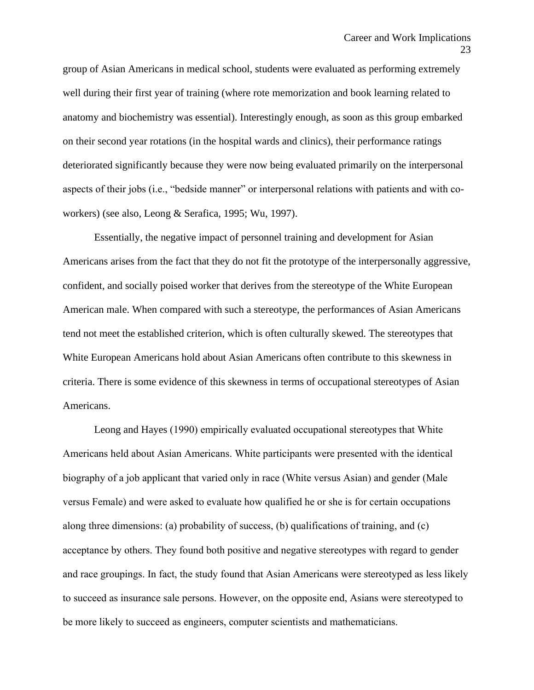group of Asian Americans in medical school, students were evaluated as performing extremely well during their first year of training (where rote memorization and book learning related to anatomy and biochemistry was essential). Interestingly enough, as soon as this group embarked on their second year rotations (in the hospital wards and clinics), their performance ratings deteriorated significantly because they were now being evaluated primarily on the interpersonal aspects of their jobs (i.e., "bedside manner" or interpersonal relations with patients and with coworkers) (see also, Leong & Serafica, 1995; Wu, 1997).

Essentially, the negative impact of personnel training and development for Asian Americans arises from the fact that they do not fit the prototype of the interpersonally aggressive, confident, and socially poised worker that derives from the stereotype of the White European American male. When compared with such a stereotype, the performances of Asian Americans tend not meet the established criterion, which is often culturally skewed. The stereotypes that White European Americans hold about Asian Americans often contribute to this skewness in criteria. There is some evidence of this skewness in terms of occupational stereotypes of Asian Americans.

Leong and Hayes (1990) empirically evaluated occupational stereotypes that White Americans held about Asian Americans. White participants were presented with the identical biography of a job applicant that varied only in race (White versus Asian) and gender (Male versus Female) and were asked to evaluate how qualified he or she is for certain occupations along three dimensions: (a) probability of success, (b) qualifications of training, and (c) acceptance by others. They found both positive and negative stereotypes with regard to gender and race groupings. In fact, the study found that Asian Americans were stereotyped as less likely to succeed as insurance sale persons. However, on the opposite end, Asians were stereotyped to be more likely to succeed as engineers, computer scientists and mathematicians.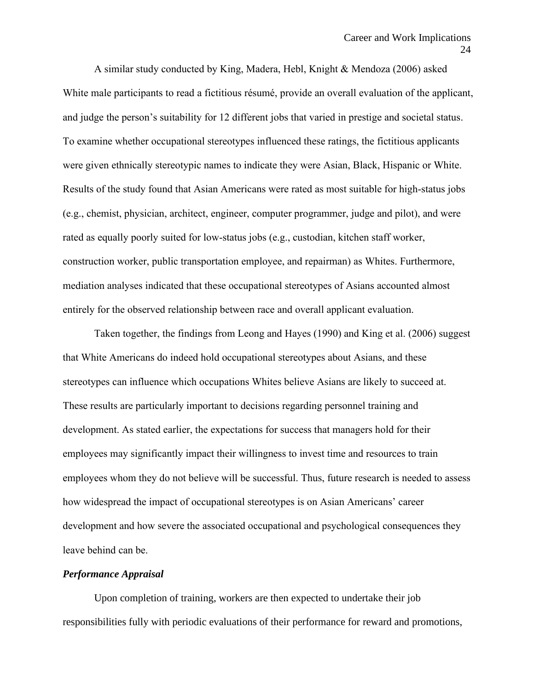A similar study conducted by King, Madera, Hebl, Knight & Mendoza (2006) asked White male participants to read a fictitious résumé, provide an overall evaluation of the applicant, and judge the person's suitability for 12 different jobs that varied in prestige and societal status. To examine whether occupational stereotypes influenced these ratings, the fictitious applicants were given ethnically stereotypic names to indicate they were Asian, Black, Hispanic or White. Results of the study found that Asian Americans were rated as most suitable for high-status jobs (e.g., chemist, physician, architect, engineer, computer programmer, judge and pilot), and were rated as equally poorly suited for low-status jobs (e.g., custodian, kitchen staff worker, construction worker, public transportation employee, and repairman) as Whites. Furthermore, mediation analyses indicated that these occupational stereotypes of Asians accounted almost entirely for the observed relationship between race and overall applicant evaluation.

Taken together, the findings from Leong and Hayes (1990) and King et al. (2006) suggest that White Americans do indeed hold occupational stereotypes about Asians, and these stereotypes can influence which occupations Whites believe Asians are likely to succeed at. These results are particularly important to decisions regarding personnel training and development. As stated earlier, the expectations for success that managers hold for their employees may significantly impact their willingness to invest time and resources to train employees whom they do not believe will be successful. Thus, future research is needed to assess how widespread the impact of occupational stereotypes is on Asian Americans' career development and how severe the associated occupational and psychological consequences they leave behind can be.

### *Performance Appraisal*

Upon completion of training, workers are then expected to undertake their job responsibilities fully with periodic evaluations of their performance for reward and promotions,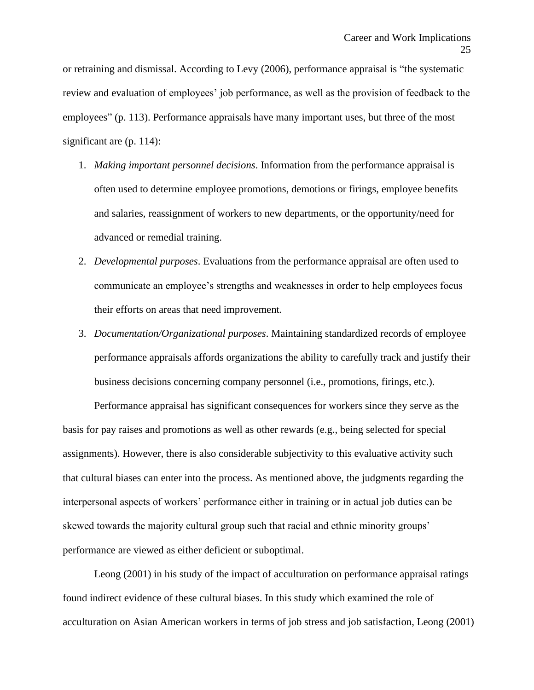or retraining and dismissal. According to Levy (2006), performance appraisal is "the systematic review and evaluation of employees' job performance, as well as the provision of feedback to the employees" (p. 113). Performance appraisals have many important uses, but three of the most significant are (p. 114):

- 1. *Making important personnel decisions*. Information from the performance appraisal is often used to determine employee promotions, demotions or firings, employee benefits and salaries, reassignment of workers to new departments, or the opportunity/need for advanced or remedial training.
- 2. *Developmental purposes*. Evaluations from the performance appraisal are often used to communicate an employee's strengths and weaknesses in order to help employees focus their efforts on areas that need improvement.
- 3. *Documentation/Organizational purposes*. Maintaining standardized records of employee performance appraisals affords organizations the ability to carefully track and justify their business decisions concerning company personnel (i.e., promotions, firings, etc.).

Performance appraisal has significant consequences for workers since they serve as the basis for pay raises and promotions as well as other rewards (e.g., being selected for special assignments). However, there is also considerable subjectivity to this evaluative activity such that cultural biases can enter into the process. As mentioned above, the judgments regarding the interpersonal aspects of workers' performance either in training or in actual job duties can be skewed towards the majority cultural group such that racial and ethnic minority groups' performance are viewed as either deficient or suboptimal.

Leong (2001) in his study of the impact of acculturation on performance appraisal ratings found indirect evidence of these cultural biases. In this study which examined the role of acculturation on Asian American workers in terms of job stress and job satisfaction, Leong (2001)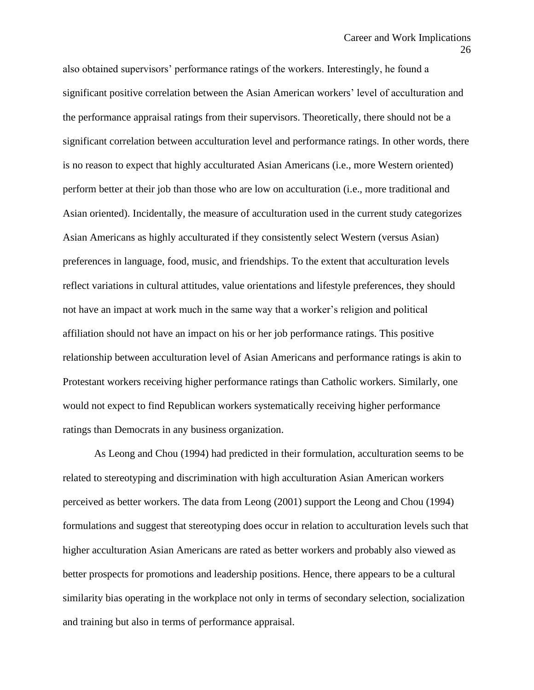also obtained supervisors' performance ratings of the workers. Interestingly, he found a significant positive correlation between the Asian American workers' level of acculturation and the performance appraisal ratings from their supervisors. Theoretically, there should not be a significant correlation between acculturation level and performance ratings. In other words, there is no reason to expect that highly acculturated Asian Americans (i.e., more Western oriented) perform better at their job than those who are low on acculturation (i.e., more traditional and Asian oriented). Incidentally, the measure of acculturation used in the current study categorizes Asian Americans as highly acculturated if they consistently select Western (versus Asian) preferences in language, food, music, and friendships. To the extent that acculturation levels reflect variations in cultural attitudes, value orientations and lifestyle preferences, they should not have an impact at work much in the same way that a worker's religion and political affiliation should not have an impact on his or her job performance ratings. This positive relationship between acculturation level of Asian Americans and performance ratings is akin to Protestant workers receiving higher performance ratings than Catholic workers. Similarly, one would not expect to find Republican workers systematically receiving higher performance ratings than Democrats in any business organization.

As Leong and Chou (1994) had predicted in their formulation, acculturation seems to be related to stereotyping and discrimination with high acculturation Asian American workers perceived as better workers. The data from Leong (2001) support the Leong and Chou (1994) formulations and suggest that stereotyping does occur in relation to acculturation levels such that higher acculturation Asian Americans are rated as better workers and probably also viewed as better prospects for promotions and leadership positions. Hence, there appears to be a cultural similarity bias operating in the workplace not only in terms of secondary selection, socialization and training but also in terms of performance appraisal.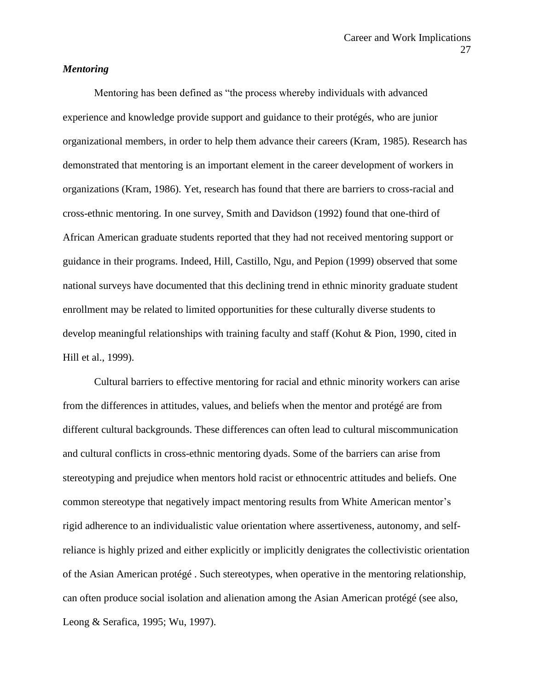# *Mentoring*

Mentoring has been defined as "the process whereby individuals with advanced experience and knowledge provide support and guidance to their protégés, who are junior organizational members, in order to help them advance their careers (Kram, 1985). Research has demonstrated that mentoring is an important element in the career development of workers in organizations (Kram, 1986). Yet, research has found that there are barriers to cross-racial and cross-ethnic mentoring. In one survey, Smith and Davidson (1992) found that one-third of African American graduate students reported that they had not received mentoring support or guidance in their programs. Indeed, Hill, Castillo, Ngu, and Pepion (1999) observed that some national surveys have documented that this declining trend in ethnic minority graduate student enrollment may be related to limited opportunities for these culturally diverse students to develop meaningful relationships with training faculty and staff (Kohut & Pion, 1990, cited in Hill et al., 1999).

Cultural barriers to effective mentoring for racial and ethnic minority workers can arise from the differences in attitudes, values, and beliefs when the mentor and protégé are from different cultural backgrounds. These differences can often lead to cultural miscommunication and cultural conflicts in cross-ethnic mentoring dyads. Some of the barriers can arise from stereotyping and prejudice when mentors hold racist or ethnocentric attitudes and beliefs. One common stereotype that negatively impact mentoring results from White American mentor's rigid adherence to an individualistic value orientation where assertiveness, autonomy, and selfreliance is highly prized and either explicitly or implicitly denigrates the collectivistic orientation of the Asian American protégé . Such stereotypes, when operative in the mentoring relationship, can often produce social isolation and alienation among the Asian American protégé (see also, Leong & Serafica, 1995; Wu, 1997).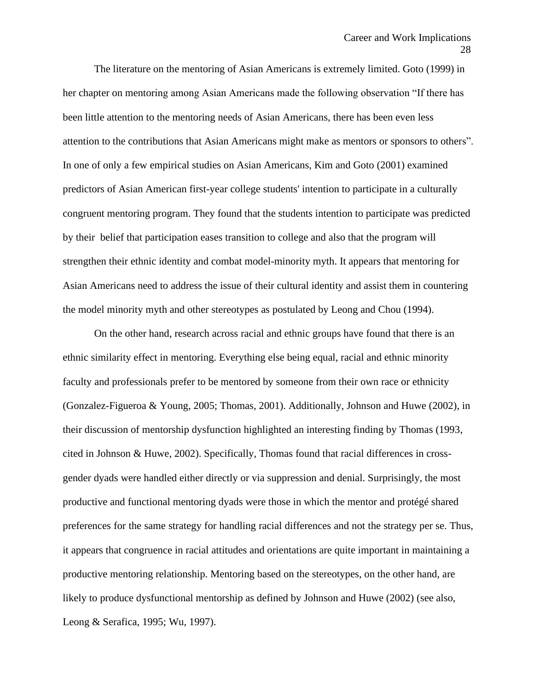The literature on the mentoring of Asian Americans is extremely limited. Goto (1999) in her chapter on mentoring among Asian Americans made the following observation "If there has been little attention to the mentoring needs of Asian Americans, there has been even less attention to the contributions that Asian Americans might make as mentors or sponsors to others". In one of only a few empirical studies on Asian Americans, Kim and Goto (2001) examined predictors of Asian American first-year college students' intention to participate in a culturally congruent mentoring program. They found that the students intention to participate was predicted by their belief that participation eases transition to college and also that the program will strengthen their ethnic identity and combat model-minority myth. It appears that mentoring for Asian Americans need to address the issue of their cultural identity and assist them in countering the model minority myth and other stereotypes as postulated by Leong and Chou (1994).

On the other hand, research across racial and ethnic groups have found that there is an ethnic similarity effect in mentoring. Everything else being equal, racial and ethnic minority faculty and professionals prefer to be mentored by someone from their own race or ethnicity (Gonzalez-Figueroa & Young, 2005; Thomas, 2001). Additionally, Johnson and Huwe (2002), in their discussion of mentorship dysfunction highlighted an interesting finding by Thomas (1993, cited in Johnson & Huwe, 2002). Specifically, Thomas found that racial differences in crossgender dyads were handled either directly or via suppression and denial. Surprisingly, the most productive and functional mentoring dyads were those in which the mentor and protégé shared preferences for the same strategy for handling racial differences and not the strategy per se. Thus, it appears that congruence in racial attitudes and orientations are quite important in maintaining a productive mentoring relationship. Mentoring based on the stereotypes, on the other hand, are likely to produce dysfunctional mentorship as defined by Johnson and Huwe (2002) (see also, Leong & Serafica, 1995; Wu, 1997).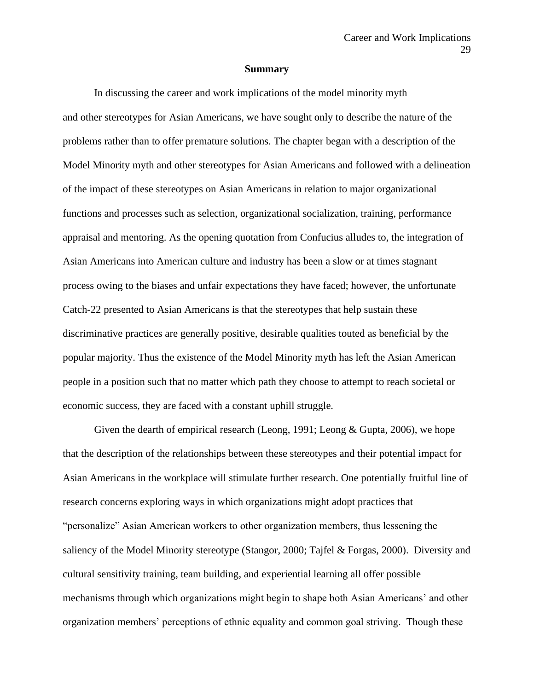#### **Summary**

In discussing the career and work implications of the model minority myth and other stereotypes for Asian Americans, we have sought only to describe the nature of the problems rather than to offer premature solutions. The chapter began with a description of the Model Minority myth and other stereotypes for Asian Americans and followed with a delineation of the impact of these stereotypes on Asian Americans in relation to major organizational functions and processes such as selection, organizational socialization, training, performance appraisal and mentoring. As the opening quotation from Confucius alludes to, the integration of Asian Americans into American culture and industry has been a slow or at times stagnant process owing to the biases and unfair expectations they have faced; however, the unfortunate Catch-22 presented to Asian Americans is that the stereotypes that help sustain these discriminative practices are generally positive, desirable qualities touted as beneficial by the popular majority. Thus the existence of the Model Minority myth has left the Asian American people in a position such that no matter which path they choose to attempt to reach societal or economic success, they are faced with a constant uphill struggle.

Given the dearth of empirical research (Leong, 1991; Leong & Gupta, 2006), we hope that the description of the relationships between these stereotypes and their potential impact for Asian Americans in the workplace will stimulate further research. One potentially fruitful line of research concerns exploring ways in which organizations might adopt practices that "personalize" Asian American workers to other organization members, thus lessening the saliency of the Model Minority stereotype (Stangor, 2000; Tajfel & Forgas, 2000). Diversity and cultural sensitivity training, team building, and experiential learning all offer possible mechanisms through which organizations might begin to shape both Asian Americans' and other organization members' perceptions of ethnic equality and common goal striving. Though these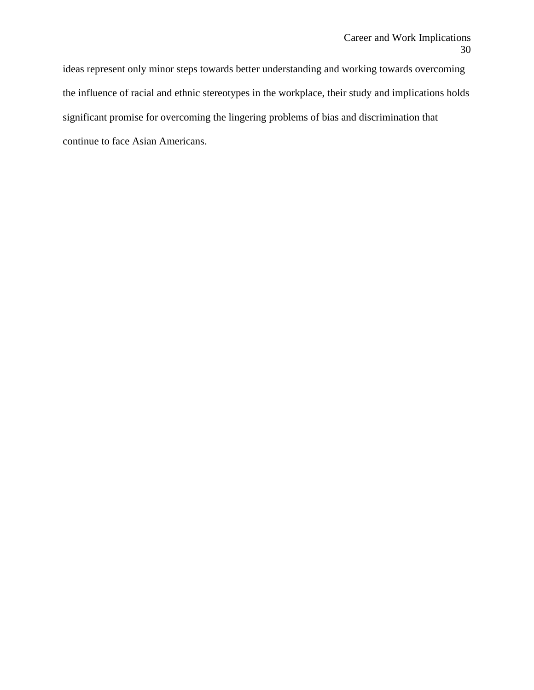ideas represent only minor steps towards better understanding and working towards overcoming the influence of racial and ethnic stereotypes in the workplace, their study and implications holds significant promise for overcoming the lingering problems of bias and discrimination that continue to face Asian Americans.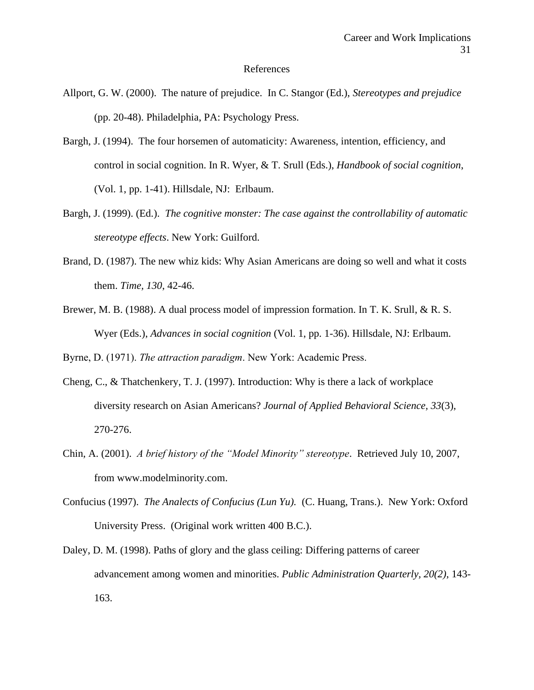#### References

- Allport, G. W. (2000). The nature of prejudice. In C. Stangor (Ed.), *Stereotypes and prejudice* (pp. 20-48). Philadelphia, PA: Psychology Press.
- Bargh, J. (1994). The four horsemen of automaticity: Awareness, intention, efficiency, and control in social cognition. In R. Wyer, & T. Srull (Eds.), *Handbook of social cognition*, (Vol. 1, pp. 1-41). Hillsdale, NJ: Erlbaum.
- Bargh, J. (1999). (Ed.). *The cognitive monster: The case against the controllability of automatic stereotype effects*. New York: Guilford.
- Brand, D. (1987). The new whiz kids: Why Asian Americans are doing so well and what it costs them. *Time, 130*, 42-46.
- Brewer, M. B. (1988). A dual process model of impression formation. In T. K. Srull, & R. S. Wyer (Eds.), *Advances in social cognition* (Vol. 1, pp. 1-36). Hillsdale, NJ: Erlbaum.

Byrne, D. (1971). *The attraction paradigm*. New York: Academic Press.

- Cheng, C., & Thatchenkery, T. J. (1997). Introduction: Why is there a lack of workplace diversity research on Asian Americans? *Journal of Applied Behavioral Science, 33*(3), 270-276.
- Chin, A. (2001). *A brief history of the "Model Minority" stereotype*. Retrieved July 10, 2007, from www.modelminority.com.
- Confucius (1997). *The Analects of Confucius (Lun Yu).* (C. Huang, Trans.). New York: Oxford University Press. (Original work written 400 B.C.).
- Daley, D. M. (1998). Paths of glory and the glass ceiling: Differing patterns of career advancement among women and minorities. *Public Administration Quarterly, 20(2)*, 143- 163.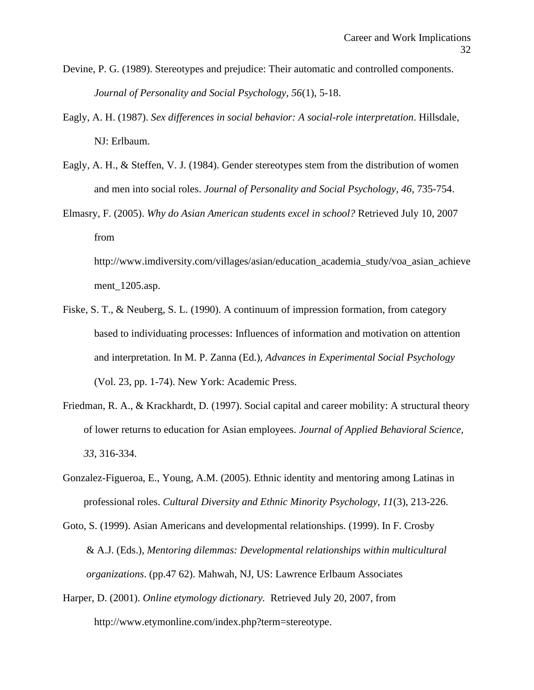- Devine, P. G. (1989). Stereotypes and prejudice: Their automatic and controlled components. *Journal of Personality and Social Psychology, 56*(1), 5-18.
- Eagly, A. H. (1987). *Sex differences in social behavior: A social-role interpretation*. Hillsdale, NJ: Erlbaum.
- Eagly, A. H., & Steffen, V. J. (1984). Gender stereotypes stem from the distribution of women and men into social roles. *Journal of Personality and Social Psychology, 46,* 735-754.
- Elmasry, F. (2005). *Why do Asian American students excel in school?* Retrieved July 10, 2007 from http://www.imdiversity.com/villages/asian/education\_academia\_study/voa\_asian\_achieve

ment\_1205.asp.

- Fiske, S. T., & Neuberg, S. L. (1990). A continuum of impression formation, from category based to individuating processes: Influences of information and motivation on attention and interpretation. In M. P. Zanna (Ed.), *Advances in Experimental Social Psychology* (Vol. 23, pp. 1-74). New York: Academic Press.
- Friedman, R. A., & Krackhardt, D. (1997). Social capital and career mobility: A structural theory of lower returns to education for Asian employees. *Journal of Applied Behavioral Science, 33*, 316-334.
- Gonzalez-Figueroa, E., Young, A.M. (2005). Ethnic identity and mentoring among Latinas in professional roles. *Cultural Diversity and Ethnic Minority Psychology, 11*(3), 213-226.
- Goto, S. (1999). Asian Americans and developmental relationships. (1999). In F. Crosby & A.J. (Eds.), *Mentoring dilemmas: Developmental relationships within multicultural organizations*. (pp.47 62). Mahwah, NJ, US: Lawrence Erlbaum Associates
- Harper, D. (2001). *Online etymology dictionary.* Retrieved July 20, 2007, from http://www.etymonline.com/index.php?term=stereotype.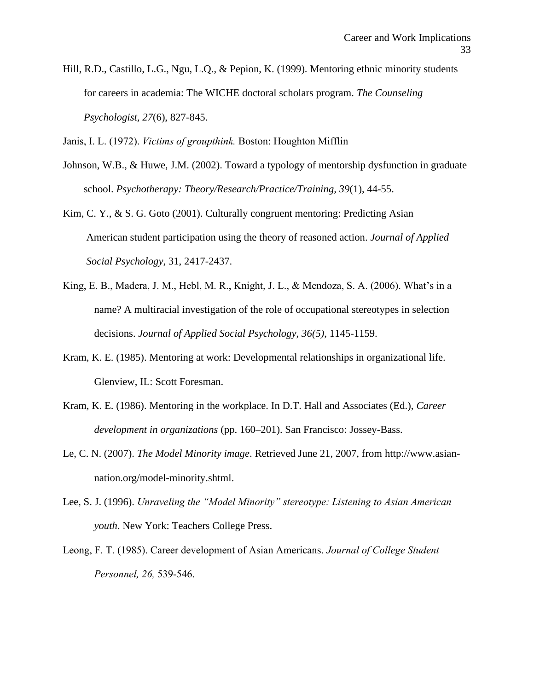Hill, R.D., Castillo, L.G., Ngu, L.Q., & Pepion, K. (1999). Mentoring ethnic minority students for careers in academia: The WICHE doctoral scholars program. *The Counseling Psychologist, 27*(6), 827-845.

Janis, I. L. (1972). *Victims of groupthink.* Boston: Houghton Mifflin

- Johnson, W.B., & Huwe, J.M. (2002). Toward a typology of mentorship dysfunction in graduate school. *Psychotherapy: Theory/Research/Practice/Training, 39*(1), 44-55.
- Kim, C. Y., & S. G. Goto (2001). Culturally congruent mentoring: Predicting Asian American student participation using the theory of reasoned action. *Journal of Applied Social Psychology*, 31, 2417-2437.
- King, E. B., Madera, J. M., Hebl, M. R., Knight, J. L., & Mendoza, S. A. (2006). What's in a name? A multiracial investigation of the role of occupational stereotypes in selection decisions. *Journal of Applied Social Psychology, 36(5)*, 1145-1159.
- Kram, K. E. (1985). Mentoring at work: Developmental relationships in organizational life. Glenview, IL: Scott Foresman.
- Kram, K. E. (1986). Mentoring in the workplace. In D.T. Hall and Associates (Ed.), *Career development in organizations* (pp. 160–201). San Francisco: Jossey-Bass.
- Le, C. N. (2007). *The Model Minority image*. Retrieved June 21, 2007, from http://www.asiannation.org/model-minority.shtml.
- Lee, S. J. (1996). *Unraveling the "Model Minority" stereotype: Listening to Asian American youth*. New York: Teachers College Press.
- Leong, F. T. (1985). Career development of Asian Americans. *Journal of College Student Personnel, 26,* 539-546.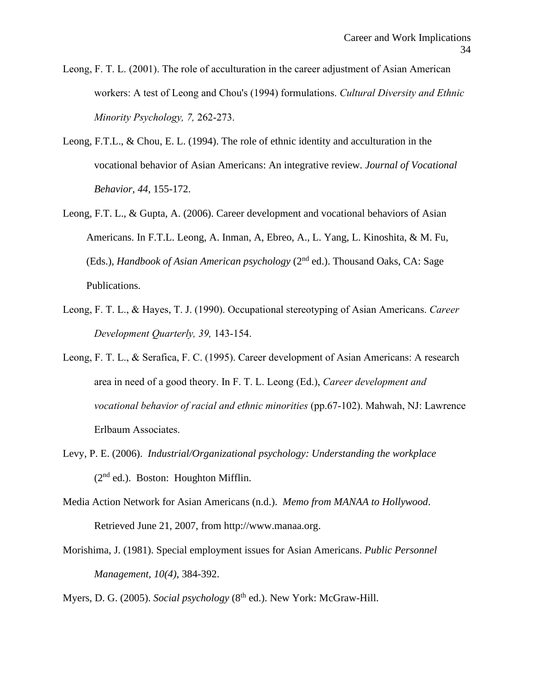Leong, F. T. L. (2001). The role of acculturation in the career adjustment of Asian American workers: A test of Leong and Chou's (1994) formulations. *Cultural Diversity and Ethnic Minority Psychology, 7,* 262-273.

- Leong, F.T.L., & Chou, E. L. (1994). The role of ethnic identity and acculturation in the vocational behavior of Asian Americans: An integrative review. *Journal of Vocational Behavior, 44*, 155-172.
- Leong, F.T. L., & Gupta, A. (2006). Career development and vocational behaviors of Asian Americans. In F.T.L. Leong, A. Inman, A, Ebreo, A., L. Yang, L. Kinoshita, & M. Fu, (Eds.), *Handbook of Asian American psychology* (2<sup>nd</sup> ed.). Thousand Oaks, CA: Sage Publications.
- Leong, F. T. L., & Hayes, T. J. (1990). Occupational stereotyping of Asian Americans. *Career Development Quarterly, 39,* 143-154.
- Leong, F. T. L., & Serafica, F. C. (1995). Career development of Asian Americans: A research area in need of a good theory. In F. T. L. Leong (Ed.), *Career development and vocational behavior of racial and ethnic minorities* (pp.67-102). Mahwah, NJ: Lawrence Erlbaum Associates.
- Levy, P. E. (2006). *Industrial/Organizational psychology: Understanding the workplace*  $(2<sup>nd</sup>$  ed.). Boston: Houghton Mifflin.
- Media Action Network for Asian Americans (n.d.). *Memo from MANAA to Hollywood*. Retrieved June 21, 2007, from http://www.manaa.org.
- Morishima, J. (1981). Special employment issues for Asian Americans. *Public Personnel Management, 10(4)*, 384-392.

Myers, D. G. (2005). *Social psychology* (8<sup>th</sup> ed.). New York: McGraw-Hill.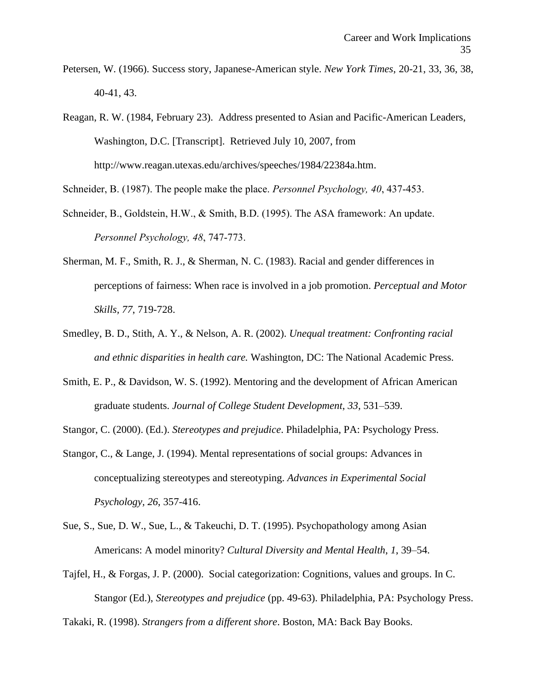Petersen, W. (1966). Success story, Japanese-American style. *New York Times*, 20-21, 33, 36, 38, 40-41, 43.

Reagan, R. W. (1984, February 23). Address presented to Asian and Pacific-American Leaders, Washington, D.C. [Transcript]. Retrieved July 10, 2007, from http://www.reagan.utexas.edu/archives/speeches/1984/22384a.htm.

Schneider, B. (1987). The people make the place. *Personnel Psychology, 40*, 437-453.

- Schneider, B., Goldstein, H.W., & Smith, B.D. (1995). The ASA framework: An update. *Personnel Psychology, 48*, 747-773.
- Sherman, M. F., Smith, R. J., & Sherman, N. C. (1983). Racial and gender differences in perceptions of fairness: When race is involved in a job promotion. *Perceptual and Motor Skills, 77*, 719-728.
- Smedley, B. D., Stith, A. Y., & Nelson, A. R. (2002). *Unequal treatment: Confronting racial and ethnic disparities in health care.* Washington, DC: The National Academic Press.
- Smith, E. P., & Davidson, W. S. (1992). Mentoring and the development of African American graduate students. *Journal of College Student Development*, *33*, 531–539.

Stangor, C. (2000). (Ed.). *Stereotypes and prejudice*. Philadelphia, PA: Psychology Press.

- Stangor, C., & Lange, J. (1994). Mental representations of social groups: Advances in conceptualizing stereotypes and stereotyping. *Advances in Experimental Social Psychology, 26*, 357-416.
- Sue, S., Sue, D. W., Sue, L., & Takeuchi, D. T. (1995). Psychopathology among Asian Americans: A model minority? *Cultural Diversity and Mental Health*, *1*, 39–54.
- Tajfel, H., & Forgas, J. P. (2000). Social categorization: Cognitions, values and groups. In C. Stangor (Ed.), *Stereotypes and prejudice* (pp. 49-63). Philadelphia, PA: Psychology Press.

Takaki, R. (1998). *Strangers from a different shore*. Boston, MA: Back Bay Books.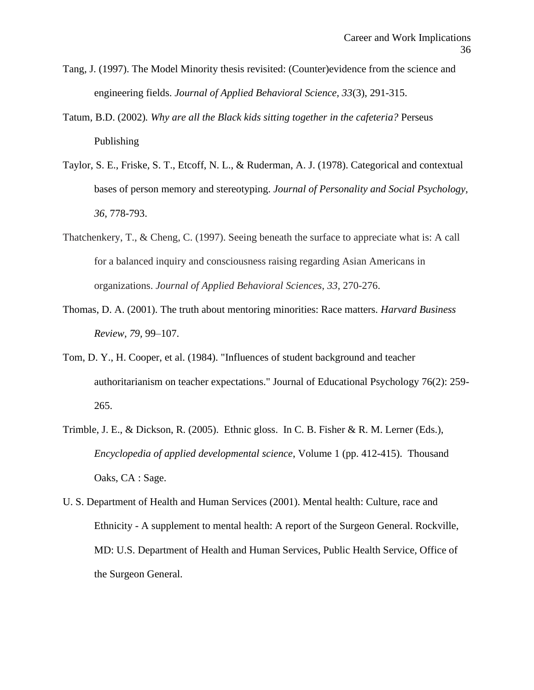- Tang, J. (1997). The Model Minority thesis revisited: (Counter)evidence from the science and engineering fields. *Journal of Applied Behavioral Science, 33*(3), 291-315.
- Tatum*,* B.D. (2002)*. Why are all the Black kids sitting together in the cafeteria?* Perseus Publishing
- Taylor, S. E., Friske, S. T., Etcoff, N. L., & Ruderman, A. J. (1978). Categorical and contextual bases of person memory and stereotyping. *Journal of Personality and Social Psychology, 36*, 778-793.
- Thatchenkery, T., & Cheng, C. (1997). Seeing beneath the surface to appreciate what is: A call for a balanced inquiry and consciousness raising regarding Asian Americans in organizations. *Journal of Applied Behavioral Sciences*, *33*, 270-276.
- Thomas, D. A. (2001). The truth about mentoring minorities: Race matters. *Harvard Business Review, 79,* 99–107.
- Tom, D. Y., H. Cooper, et al. (1984). "Influences of student background and teacher authoritarianism on teacher expectations." Journal of Educational Psychology 76(2): 259- 265.
- Trimble, J. E., & Dickson, R. (2005). Ethnic gloss. In C. B. Fisher & R. M. Lerner (Eds.), *Encyclopedia of applied developmental science*, Volume 1 (pp. 412-415). Thousand Oaks, CA : Sage.
- U. S. Department of Health and Human Services (2001). Mental health: Culture, race and Ethnicity - A supplement to mental health: A report of the Surgeon General. Rockville, MD: U.S. Department of Health and Human Services, Public Health Service, Office of the Surgeon General.